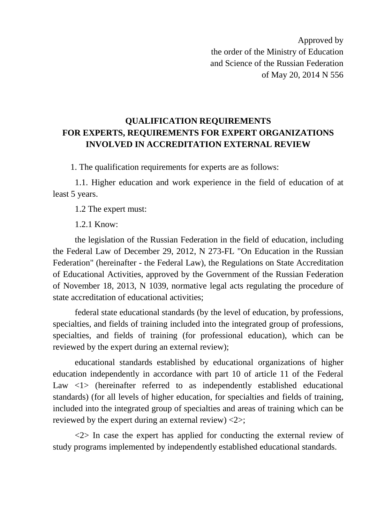Approved by the order of the Ministry of Education and Science of the Russian Federation of May 20, 2014 N 556

## **QUALIFICATION REQUIREMENTS FOR EXPERTS, REQUIREMENTS FOR EXPERT ORGANIZATIONS INVOLVED IN ACCREDITATION EXTERNAL REVIEW**

1. The qualification requirements for experts are as follows:

1.1. Higher education and work experience in the field of education of at least 5 years.

1.2 The expert must:

1.2.1 Know:

the legislation of the Russian Federation in the field of education, including the Federal Law of December 29, 2012, N 273-FL "On Education in the Russian Federation" (hereinafter - the Federal Law), the Regulations on State Accreditation of Educational Activities, approved by the Government of the Russian Federation of November 18, 2013, N 1039, normative legal acts regulating the procedure of state accreditation of educational activities;

federal state educational standards (by the level of education, by professions, specialties, and fields of training included into the integrated group of professions, specialties, and fields of training (for professional education), which can be reviewed by the expert during an external review);

educational standards established by educational organizations of higher education independently in accordance with part 10 of article 11 of the Federal Law  $\langle 1 \rangle$  (hereinafter referred to as independently established educational standards) (for all levels of higher education, for specialties and fields of training, included into the integrated group of specialties and areas of training which can be reviewed by the expert during an external review) <2>;

 $\langle 2 \rangle$  In case the expert has applied for conducting the external review of study programs implemented by independently established educational standards.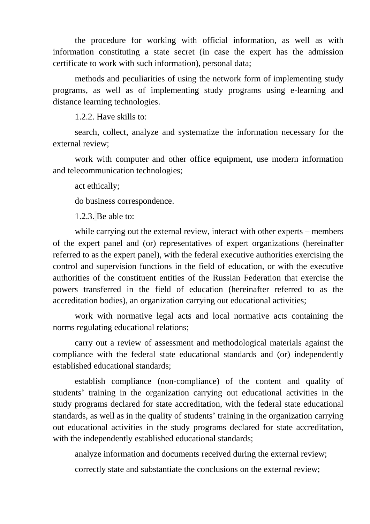the procedure for working with official information, as well as with information constituting a state secret (in case the expert has the admission certificate to work with such information), personal data;

methods and peculiarities of using the network form of implementing study programs, as well as of implementing study programs using e-learning and distance learning technologies.

1.2.2. Have skills to:

search, collect, analyze and systematize the information necessary for the external review;

work with computer and other office equipment, use modern information and telecommunication technologies;

act ethically;

do business correspondence.

1.2.3. Be able to:

while carrying out the external review, interact with other experts – members of the expert panel and (or) representatives of expert organizations (hereinafter referred to as the expert panel), with the federal executive authorities exercising the control and supervision functions in the field of education, or with the executive authorities of the constituent entities of the Russian Federation that exercise the powers transferred in the field of education (hereinafter referred to as the accreditation bodies), an organization carrying out educational activities;

work with normative legal acts and local normative acts containing the norms regulating educational relations;

carry out a review of assessment and methodological materials against the compliance with the federal state educational standards and (or) independently established educational standards;

establish compliance (non-compliance) of the content and quality of students' training in the organization carrying out educational activities in the study programs declared for state accreditation, with the federal state educational standards, as well as in the quality of students' training in the organization carrying out educational activities in the study programs declared for state accreditation, with the independently established educational standards;

analyze information and documents received during the external review;

correctly state and substantiate the conclusions on the external review;